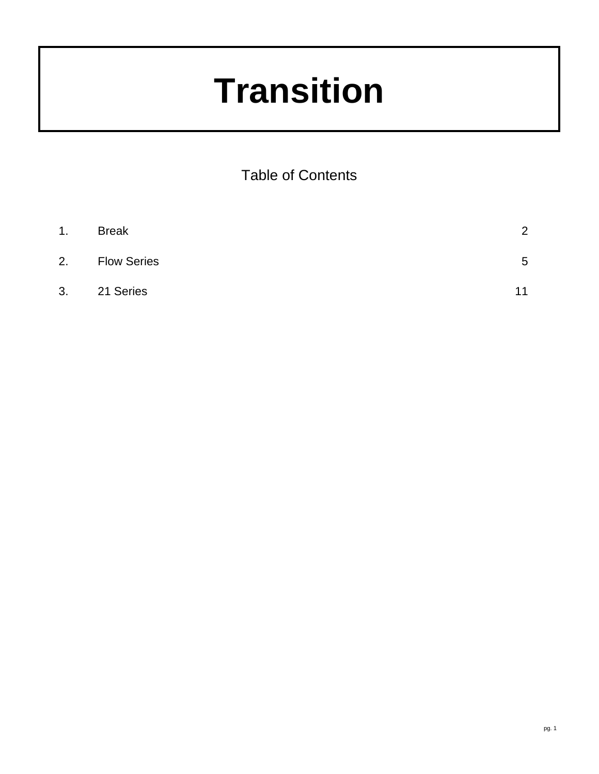# **Transition**

Table of Contents

| $\mathbf{1}$ . | <b>Break</b>       | 2  |
|----------------|--------------------|----|
| 2.             | <b>Flow Series</b> | 5  |
| 3.             | 21 Series          | 11 |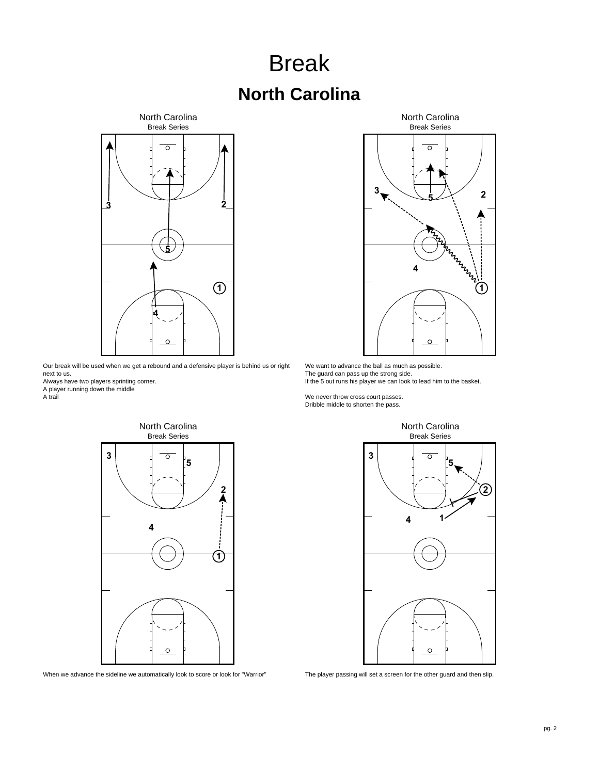### Break **North Carolina**



Our break will be used when we get a rebound and a defensive player is behind us or right next to us.

Always have two players sprinting corner.

A player running down the middle

A trail







We want to advance the ball as much as possible. The guard can pass up the strong side. If the 5 out runs his player we can look to lead him to the basket.

We never throw cross court passes. Dribble middle to shorten the pass.



The player passing will set a screen for the other guard and then slip.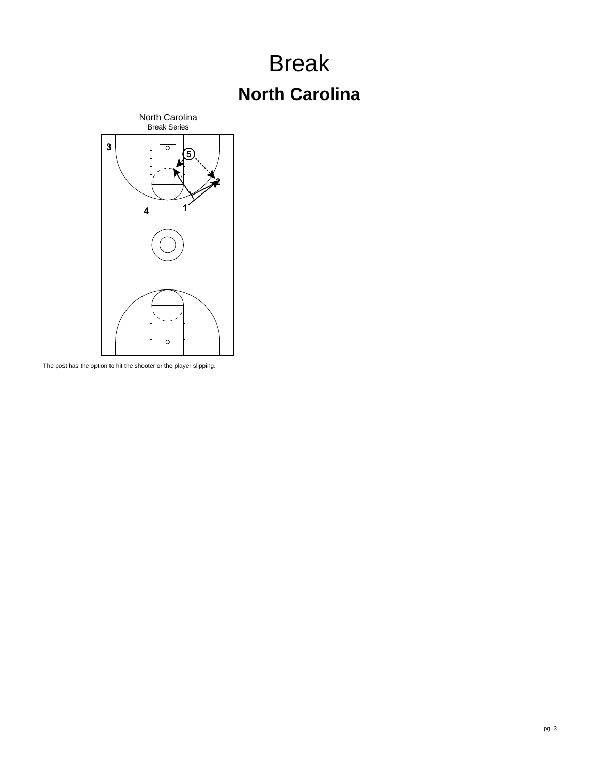## Break **North Carolina**



The post has the option to hit the shooter or the player slipping.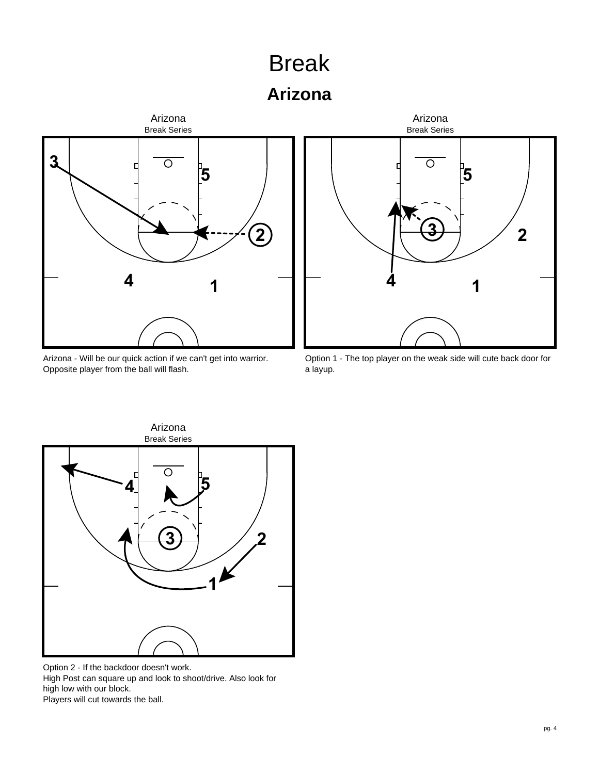## Break

#### **Arizona**



Arizona - Will be our quick action if we can't get into warrior. Opposite player from the ball will flash.



Option 1 - The top player on the weak side will cute back door for a layup.



Option 2 - If the backdoor doesn't work. High Post can square up and look to shoot/drive. Also look for high low with our block. Players will cut towards the ball.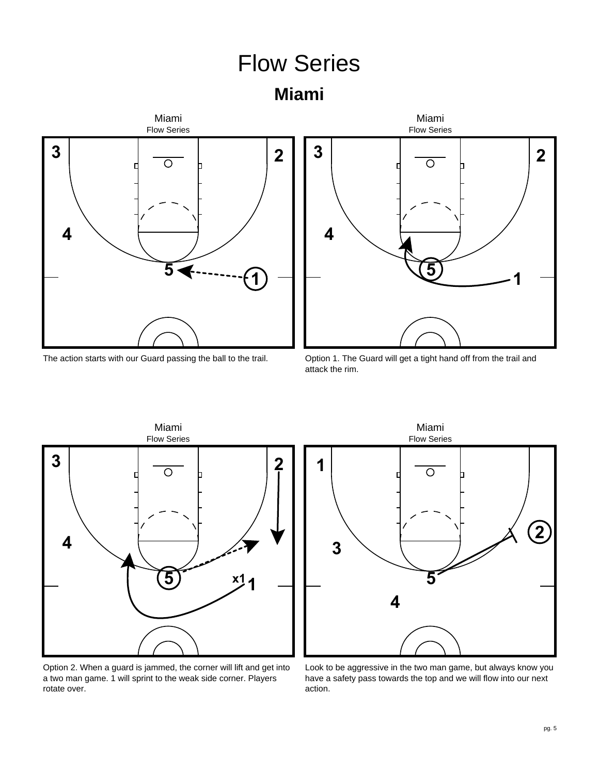**Miami**







Option 1. The Guard will get a tight hand off from the trail and attack the rim.



Option 2. When a guard is jammed, the corner will lift and get into a two man game. 1 will sprint to the weak side corner. Players rotate over.



Look to be aggressive in the two man game, but always know you have a safety pass towards the top and we will flow into our next action.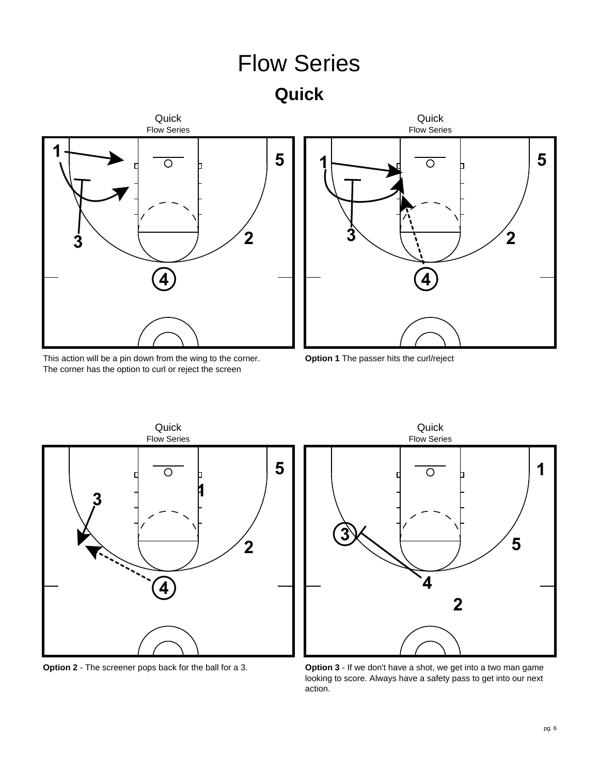**Quick**





This action will be a pin down from the wing to the corner. The corner has the option to curl or reject the screen

**Option 1** The passer hits the curl/reject



**Option 2** - The screener pops back for the ball for a 3.



**Option 3** - If we don't have a shot, we get into a two man game looking to score. Always have a safety pass to get into our next action.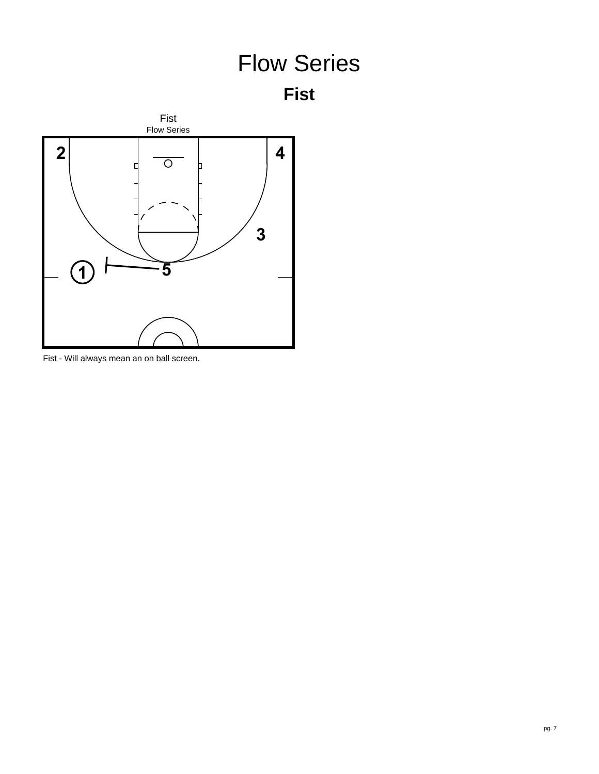



Fist - Will always mean an on ball screen.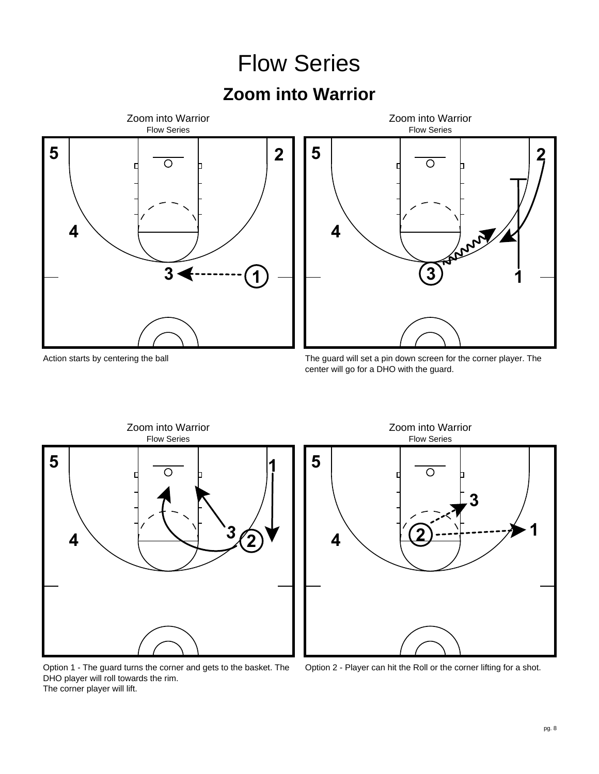#### **Zoom into Warrior**





Action starts by centering the ball

The guard will set a pin down screen for the corner player. The center will go for a DHO with the guard.

Flow Series Zoom into Warrior



**5** O **3 1 2 4**

Option 1 - The guard turns the corner and gets to the basket. The DHO player will roll towards the rim. The corner player will lift.

Option 2 - Player can hit the Roll or the corner lifting for a shot.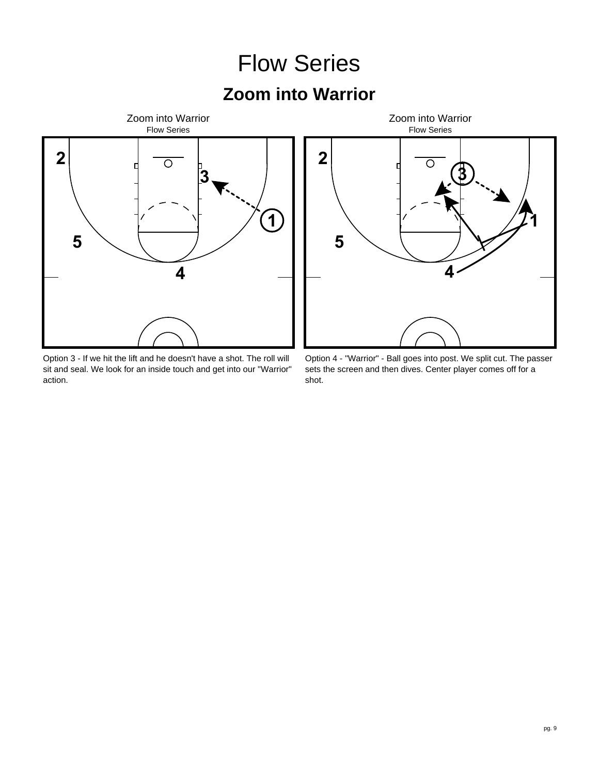#### **Zoom into Warrior**



Option 3 - If we hit the lift and he doesn't have a shot. The roll will sit and seal. We look for an inside touch and get into our "Warrior" action.



Option 4 - "Warrior" - Ball goes into post. We split cut. The passer sets the screen and then dives. Center player comes off for a shot.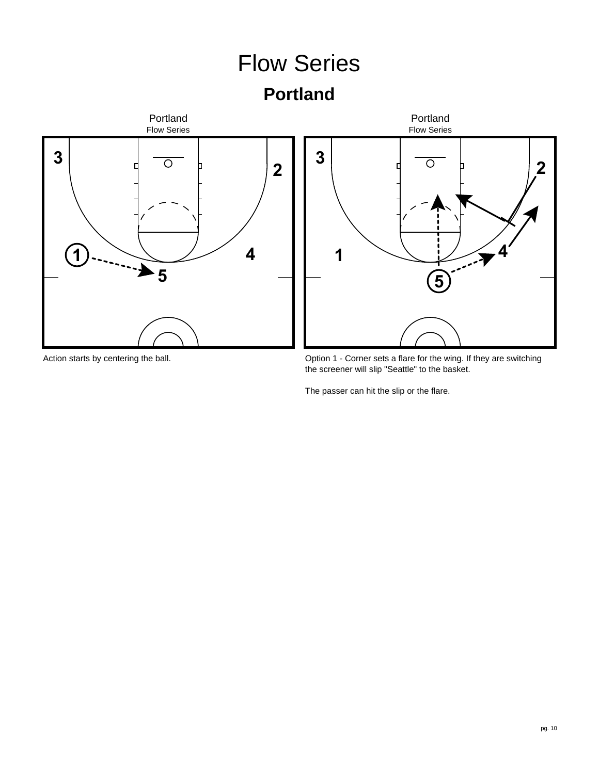#### Flow Series **Portland** Portland Portland Flow Series Flow Series **3 3**  $\overline{O}$  $\overline{\circ}$ **2 2 1 4 1 4 5 5**

Action starts by centering the ball.

Option 1 - Corner sets a flare for the wing. If they are switching the screener will slip "Seattle" to the basket.

The passer can hit the slip or the flare.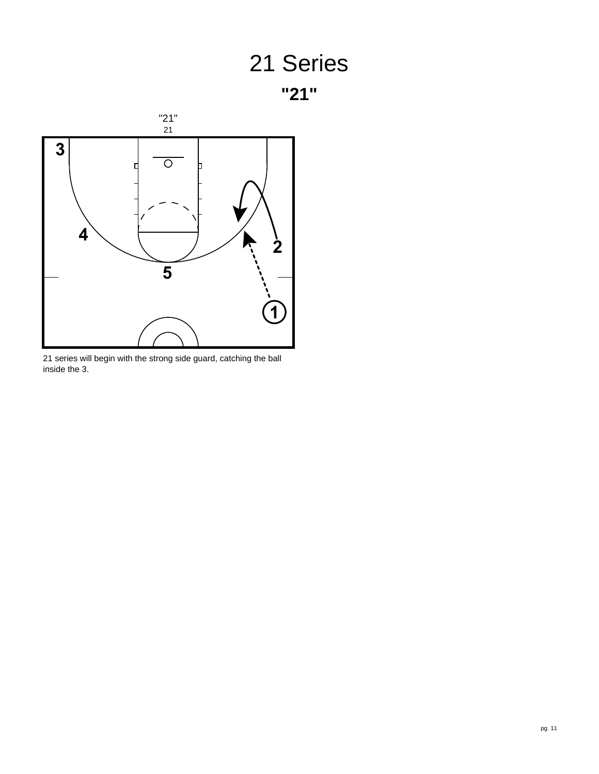



 series will begin with the strong side guard, catching the ball inside the 3.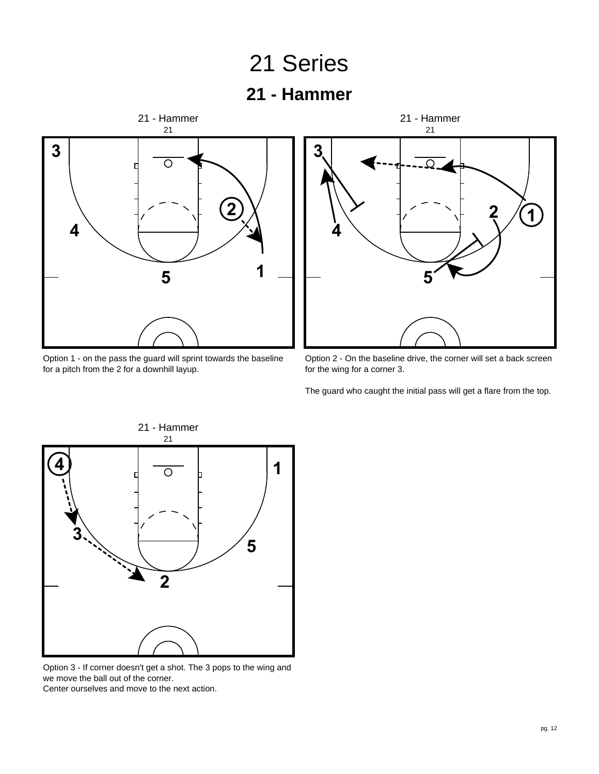#### Series

#### **- Hammer**



Option 1 - on the pass the guard will sprint towards the baseline for a pitch from the 2 for a downhill layup.



Option 2 - On the baseline drive, the corner will set a back screen for the wing for a corner 3.

The guard who caught the initial pass will get a flare from the top.



Option 3 - If corner doesn't get a shot. The 3 pops to the wing and we move the ball out of the corner. Center ourselves and move to the next action.

pg. 12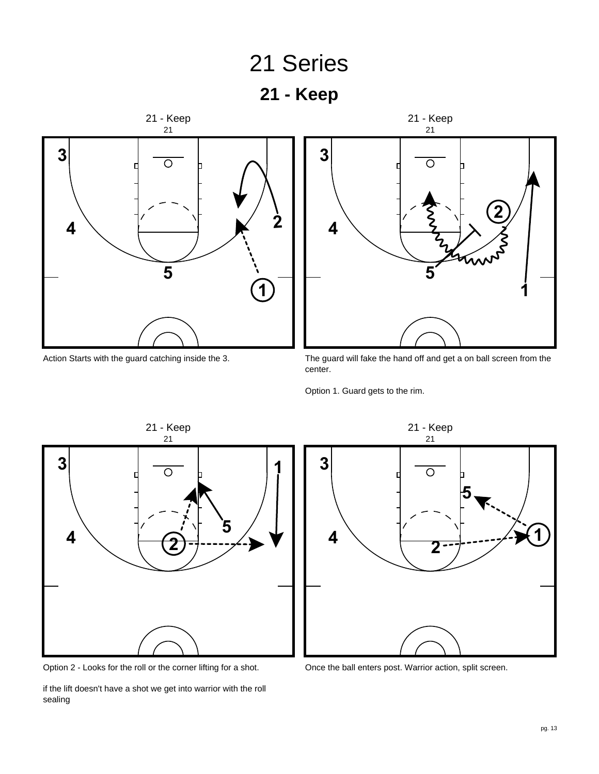

Action Starts with the guard catching inside the 3.

The guard will fake the hand off and get a on ball screen from the center.

Option 1. Guard gets to the rim.



Option 2 - Looks for the roll or the corner lifting for a shot.

if the lift doesn't have a shot we get into warrior with the roll sealing



Once the ball enters post. Warrior action, split screen.